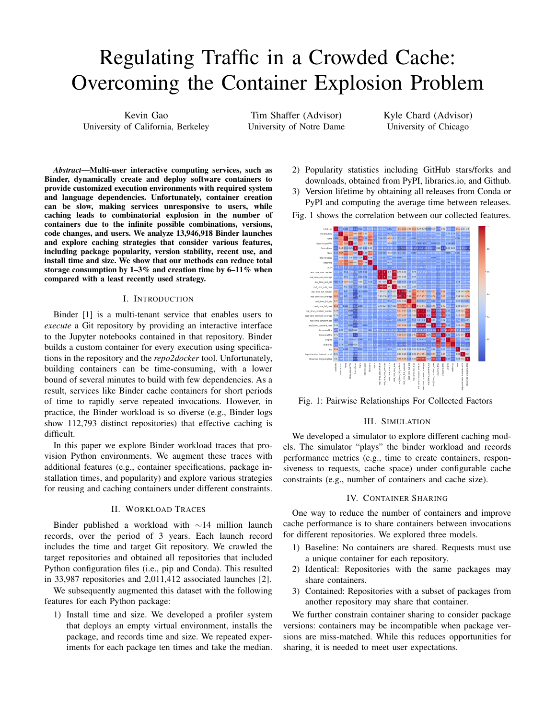# Regulating Traffic in a Crowded Cache: Overcoming the Container Explosion Problem

Kevin Gao University of California, Berkeley

Tim Shaffer (Advisor) University of Notre Dame Kyle Chard (Advisor) University of Chicago

*Abstract*—Multi-user interactive computing services, such as Binder, dynamically create and deploy software containers to provide customized execution environments with required system and language dependencies. Unfortunately, container creation can be slow, making services unresponsive to users, while caching leads to combinatorial explosion in the number of containers due to the infinite possible combinations, versions, code changes, and users. We analyze 13,946,918 Binder launches and explore caching strategies that consider various features, including package popularity, version stability, recent use, and install time and size. We show that our methods can reduce total storage consumption by  $1-3\%$  and creation time by  $6-11\%$  when compared with a least recently used strategy.

## I. INTRODUCTION

Binder [1] is a multi-tenant service that enables users to *execute* a Git repository by providing an interactive interface to the Jupyter notebooks contained in that repository. Binder builds a custom container for every execution using specifications in the repository and the *repo2docker* tool. Unfortunately, building containers can be time-consuming, with a lower bound of several minutes to build with few dependencies. As a result, services like Binder cache containers for short periods of time to rapidly serve repeated invocations. However, in practice, the Binder workload is so diverse (e.g., Binder logs show 112,793 distinct repositories) that effective caching is difficult.

In this paper we explore Binder workload traces that provision Python environments. We augment these traces with additional features (e.g., container specifications, package installation times, and popularity) and explore various strategies for reusing and caching containers under different constraints.

## II. WORKLOAD TRACES

Binder published a workload with ∼14 million launch records, over the period of 3 years. Each launch record includes the time and target Git repository. We crawled the target repositories and obtained all repositories that included Python configuration files (i.e., pip and Conda). This resulted in 33,987 repositories and 2,011,412 associated launches [2].

We subsequently augmented this dataset with the following features for each Python package:

1) Install time and size. We developed a profiler system that deploys an empty virtual environment, installs the package, and records time and size. We repeated experiments for each package ten times and take the median.

2) Popularity statistics including GitHub stars/forks and downloads, obtained from PyPI, libraries.io, and Github.

3) Version lifetime by obtaining all releases from Conda or PyPI and computing the average time between releases.

Fig. 1 shows the correlation between our collected features.



Fig. 1: Pairwise Relationships For Collected Factors

#### III. SIMULATION

We developed a simulator to explore different caching models. The simulator "plays" the binder workload and records performance metrics (e.g., time to create containers, responsiveness to requests, cache space) under configurable cache constraints (e.g., number of containers and cache size).

### IV. CONTAINER SHARING

One way to reduce the number of containers and improve cache performance is to share containers between invocations for different repositories. We explored three models.

- 1) Baseline: No containers are shared. Requests must use a unique container for each repository.
- 2) Identical: Repositories with the same packages may share containers.
- 3) Contained: Repositories with a subset of packages from another repository may share that container.

We further constrain container sharing to consider package versions: containers may be incompatible when package versions are miss-matched. While this reduces opportunities for sharing, it is needed to meet user expectations.